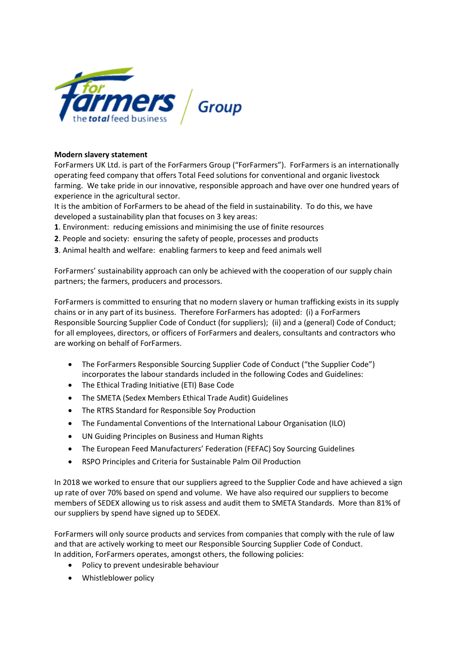

## **Modern slavery statement**

ForFarmers UK Ltd. is part of the ForFarmers Group ("ForFarmers"). ForFarmers is an internationally operating feed company that offers Total Feed solutions for conventional and organic livestock farming. We take pride in our innovative, responsible approach and have over one hundred years of experience in the agricultural sector.

It is the ambition of ForFarmers to be ahead of the field in sustainability. To do this, we have developed a sustainability plan that focuses on 3 key areas:

- **1**. Environment: reducing emissions and minimising the use of finite resources
- **2**. People and society: ensuring the safety of people, processes and products
- **3**. Animal health and welfare: enabling farmers to keep and feed animals well

ForFarmers' sustainability approach can only be achieved with the cooperation of our supply chain partners; the farmers, producers and processors.

ForFarmers is committed to ensuring that no modern slavery or human trafficking exists in its supply chains or in any part of its business. Therefore ForFarmers has adopted: (i) a ForFarmers Responsible Sourcing Supplier Code of Conduct (for suppliers); (ii) and a (general) Code of Conduct; for all employees, directors, or officers of ForFarmers and dealers, consultants and contractors who are working on behalf of ForFarmers.

- The ForFarmers Responsible Sourcing Supplier Code of Conduct ("the Supplier Code") incorporates the labour standards included in the following Codes and Guidelines:
- The Ethical Trading Initiative (ETI) Base Code
- The SMETA (Sedex Members Ethical Trade Audit) Guidelines
- The RTRS Standard for Responsible Soy Production
- The Fundamental Conventions of the International Labour Organisation (ILO)
- UN Guiding Principles on Business and Human Rights
- The European Feed Manufacturers' Federation (FEFAC) Soy Sourcing Guidelines
- RSPO Principles and Criteria for Sustainable Palm Oil Production

In 2018 we worked to ensure that our suppliers agreed to the Supplier Code and have achieved a sign up rate of over 70% based on spend and volume. We have also required our suppliers to become members of SEDEX allowing us to risk assess and audit them to SMETA Standards. More than 81% of our suppliers by spend have signed up to SEDEX.

ForFarmers will only source products and services from companies that comply with the rule of law and that are actively working to meet our Responsible Sourcing Supplier Code of Conduct. In addition, ForFarmers operates, amongst others, the following policies:

- Policy to prevent undesirable behaviour
- Whistleblower policy